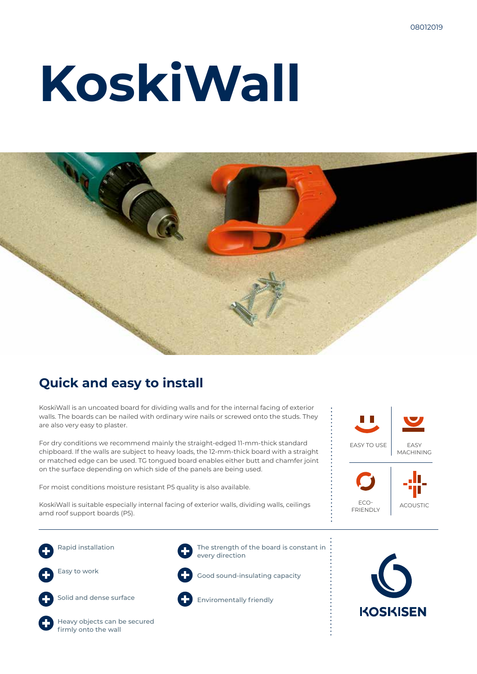# **KoskiWall**



### **Quick and easy to install**

KoskiWall is an uncoated board for dividing walls and for the internal facing of exterior walls. The boards can be nailed with ordinary wire nails or screwed onto the studs. They are also very easy to plaster.

For dry conditions we recommend mainly the straight-edged 11-mm-thick standard chipboard. If the walls are subject to heavy loads, the 12-mm-thick board with a straight or matched edge can be used. TG tongued board enables either butt and chamfer joint on the surface depending on which side of the panels are being used.

For moist conditions moisture resistant P5 quality is also available.

KoskiWall is suitable especially internal facing of exterior walls, dividing walls, ceilings amd roof support boards (P5).





Rapid installation Easy to work Solid and dense surface





Good sound-insulating capacity